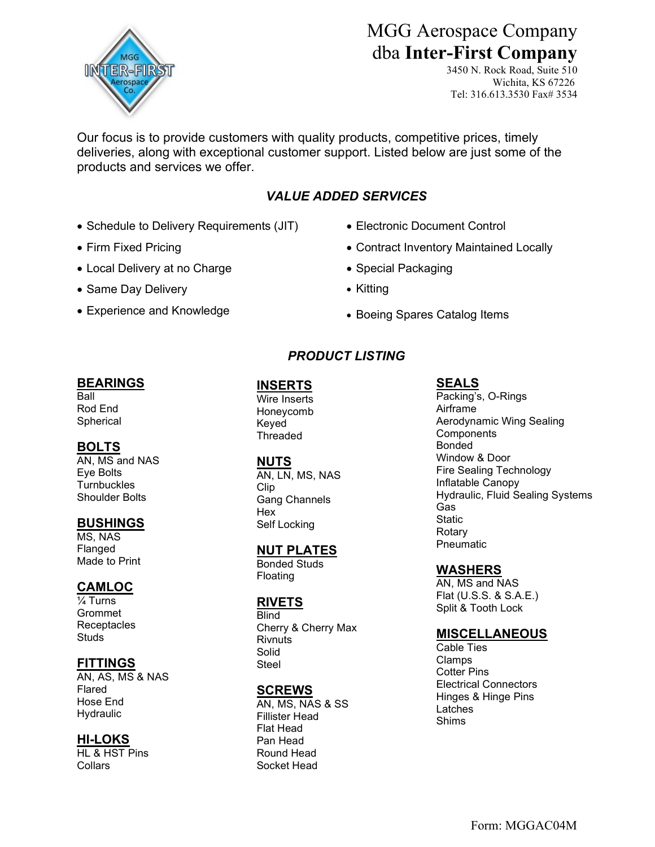

# MGG Aerospace Company dba Inter-First Company

3450 N. Rock Road, Suite 510 Wichita, KS 67226 Tel: 316.613.3530 Fax# 3534

Our focus is to provide customers with quality products, competitive prices, timely deliveries, along with exceptional customer support. Listed below are just some of the products and services we offer.

# VALUE ADDED SERVICES

- Schedule to Delivery Requirements (JIT)
- Firm Fixed Pricing
- Local Delivery at no Charge
- Same Day Delivery
- Experience and Knowledge
- Electronic Document Control
- Contract Inventory Maintained Locally
- Special Packaging
- Kitting
- Boeing Spares Catalog Items

# PRODUCT LISTING

#### BEARINGS

**Ball** Rod End **Spherical** 

# BOLTS

AN, MS and NAS Eye Bolts **Turnbuckles** Shoulder Bolts

#### **BUSHINGS**

MS, NAS Flanged Made to Print

# **CAMLOC**

¼ Turns Grommet **Receptacles** Studs

# **FITTINGS**

AN, AS, MS & NAS Flared Hose End **Hydraulic** 

# HI-LOKS

HL & HST Pins **Collars** 

# INSERTS

Wire Inserts Honeycomb Keyed Threaded

#### NUTS

AN, LN, MS, NAS Clip Gang Channels Hex Self Locking

# NUT PLATES

Bonded Studs Floating

# RIVETS

**Blind** Cherry & Cherry Max **Rivnuts** Solid Steel

#### **SCREWS**

AN, MS, NAS & SS Fillister Head Flat Head Pan Head Round Head Socket Head

# SEALS

Packing's, O-Rings Airframe Aerodynamic Wing Sealing **Components** Bonded Window & Door Fire Sealing Technology Inflatable Canopy Hydraulic, Fluid Sealing Systems Gas **Static Rotary** Pneumatic

# WASHERS

AN, MS and NAS Flat (U.S.S. & S.A.E.) Split & Tooth Lock

# **MISCELLANEOUS**

Cable Ties Clamps Cotter Pins Electrical Connectors Hinges & Hinge Pins Latches Shims